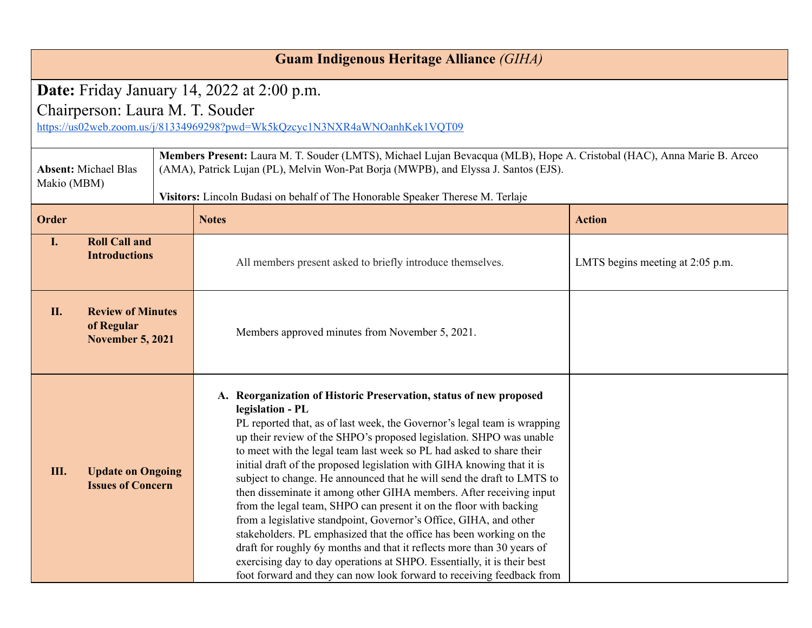| <b>Guam Indigenous Heritage Alliance (GIHA)</b>                                                                                                                      |                                                                   |  |                                                                                                                                                                                                                                                                                                                                                                                                                                                                                                                                                                                                                                                                                                                                                                                                                                                                                                                                                                                              |                                  |  |
|----------------------------------------------------------------------------------------------------------------------------------------------------------------------|-------------------------------------------------------------------|--|----------------------------------------------------------------------------------------------------------------------------------------------------------------------------------------------------------------------------------------------------------------------------------------------------------------------------------------------------------------------------------------------------------------------------------------------------------------------------------------------------------------------------------------------------------------------------------------------------------------------------------------------------------------------------------------------------------------------------------------------------------------------------------------------------------------------------------------------------------------------------------------------------------------------------------------------------------------------------------------------|----------------------------------|--|
| <b>Date:</b> Friday January 14, 2022 at $2:00$ p.m.<br>Chairperson: Laura M. T. Souder<br>https://us02web.zoom.us/j/81334969298?pwd=Wk5kQzcyc1N3NXR4aWNQanhKek1VQT09 |                                                                   |  |                                                                                                                                                                                                                                                                                                                                                                                                                                                                                                                                                                                                                                                                                                                                                                                                                                                                                                                                                                                              |                                  |  |
| <b>Absent: Michael Blas</b><br>Makio (MBM)                                                                                                                           |                                                                   |  | Members Present: Laura M. T. Souder (LMTS), Michael Lujan Bevacqua (MLB), Hope A. Cristobal (HAC), Anna Marie B. Arceo<br>(AMA), Patrick Lujan (PL), Melvin Won-Pat Borja (MWPB), and Elyssa J. Santos (EJS).<br>Visitors: Lincoln Budasi on behalf of The Honorable Speaker Therese M. Terlaje                                                                                                                                                                                                                                                                                                                                                                                                                                                                                                                                                                                                                                                                                              |                                  |  |
| Order                                                                                                                                                                |                                                                   |  | <b>Notes</b>                                                                                                                                                                                                                                                                                                                                                                                                                                                                                                                                                                                                                                                                                                                                                                                                                                                                                                                                                                                 | <b>Action</b>                    |  |
| $\mathbf{I}$ .                                                                                                                                                       | <b>Roll Call and</b><br><b>Introductions</b>                      |  | All members present asked to briefly introduce themselves.                                                                                                                                                                                                                                                                                                                                                                                                                                                                                                                                                                                                                                                                                                                                                                                                                                                                                                                                   | LMTS begins meeting at 2:05 p.m. |  |
| II.                                                                                                                                                                  | <b>Review of Minutes</b><br>of Regular<br><b>November 5, 2021</b> |  | Members approved minutes from November 5, 2021.                                                                                                                                                                                                                                                                                                                                                                                                                                                                                                                                                                                                                                                                                                                                                                                                                                                                                                                                              |                                  |  |
| <b>Update on Ongoing</b><br>Ш.<br><b>Issues of Concern</b>                                                                                                           |                                                                   |  | A. Reorganization of Historic Preservation, status of new proposed<br>legislation - PL<br>PL reported that, as of last week, the Governor's legal team is wrapping<br>up their review of the SHPO's proposed legislation. SHPO was unable<br>to meet with the legal team last week so PL had asked to share their<br>initial draft of the proposed legislation with GIHA knowing that it is<br>subject to change. He announced that he will send the draft to LMTS to<br>then disseminate it among other GIHA members. After receiving input<br>from the legal team, SHPO can present it on the floor with backing<br>from a legislative standpoint, Governor's Office, GIHA, and other<br>stakeholders. PL emphasized that the office has been working on the<br>draft for roughly 6y months and that it reflects more than 30 years of<br>exercising day to day operations at SHPO. Essentially, it is their best<br>foot forward and they can now look forward to receiving feedback from |                                  |  |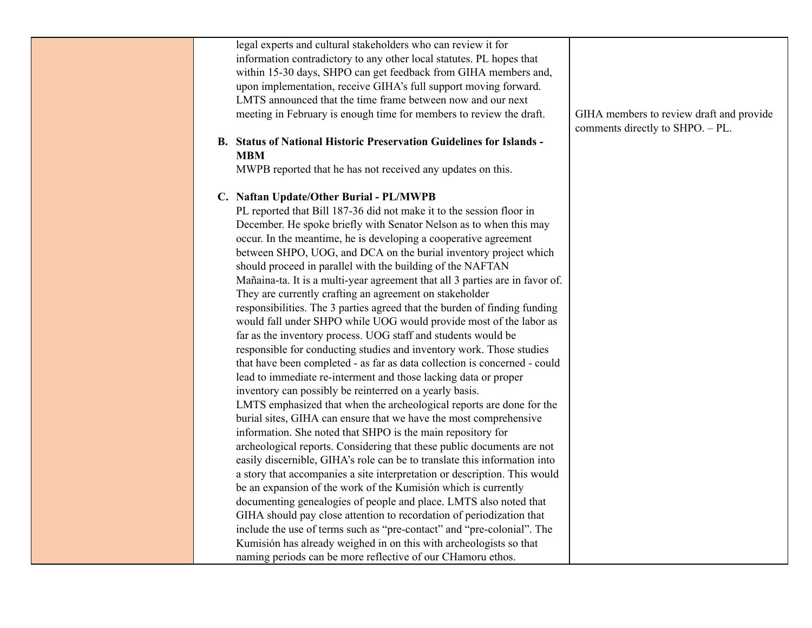| legal experts and cultural stakeholders who can review it for<br>information contradictory to any other local statutes. PL hopes that<br>within 15-30 days, SHPO can get feedback from GIHA members and,<br>upon implementation, receive GIHA's full support moving forward.<br>LMTS announced that the time frame between now and our next<br>meeting in February is enough time for members to review the draft. | GIHA members to review draft and provide |
|--------------------------------------------------------------------------------------------------------------------------------------------------------------------------------------------------------------------------------------------------------------------------------------------------------------------------------------------------------------------------------------------------------------------|------------------------------------------|
|                                                                                                                                                                                                                                                                                                                                                                                                                    | comments directly to SHPO. - PL.         |
| <b>B.</b> Status of National Historic Preservation Guidelines for Islands -<br><b>MBM</b>                                                                                                                                                                                                                                                                                                                          |                                          |
| MWPB reported that he has not received any updates on this.                                                                                                                                                                                                                                                                                                                                                        |                                          |
| C. Naftan Update/Other Burial - PL/MWPB                                                                                                                                                                                                                                                                                                                                                                            |                                          |
| PL reported that Bill 187-36 did not make it to the session floor in                                                                                                                                                                                                                                                                                                                                               |                                          |
| December. He spoke briefly with Senator Nelson as to when this may                                                                                                                                                                                                                                                                                                                                                 |                                          |
| occur. In the meantime, he is developing a cooperative agreement                                                                                                                                                                                                                                                                                                                                                   |                                          |
| between SHPO, UOG, and DCA on the burial inventory project which                                                                                                                                                                                                                                                                                                                                                   |                                          |
| should proceed in parallel with the building of the NAFTAN                                                                                                                                                                                                                                                                                                                                                         |                                          |
| Mañaina-ta. It is a multi-year agreement that all 3 parties are in favor of.                                                                                                                                                                                                                                                                                                                                       |                                          |
| They are currently crafting an agreement on stakeholder                                                                                                                                                                                                                                                                                                                                                            |                                          |
| responsibilities. The 3 parties agreed that the burden of finding funding                                                                                                                                                                                                                                                                                                                                          |                                          |
| would fall under SHPO while UOG would provide most of the labor as                                                                                                                                                                                                                                                                                                                                                 |                                          |
| far as the inventory process. UOG staff and students would be                                                                                                                                                                                                                                                                                                                                                      |                                          |
| responsible for conducting studies and inventory work. Those studies                                                                                                                                                                                                                                                                                                                                               |                                          |
| that have been completed - as far as data collection is concerned - could                                                                                                                                                                                                                                                                                                                                          |                                          |
| lead to immediate re-interment and those lacking data or proper                                                                                                                                                                                                                                                                                                                                                    |                                          |
| inventory can possibly be reinterred on a yearly basis.                                                                                                                                                                                                                                                                                                                                                            |                                          |
| LMTS emphasized that when the archeological reports are done for the                                                                                                                                                                                                                                                                                                                                               |                                          |
| burial sites, GIHA can ensure that we have the most comprehensive                                                                                                                                                                                                                                                                                                                                                  |                                          |
| information. She noted that SHPO is the main repository for                                                                                                                                                                                                                                                                                                                                                        |                                          |
| archeological reports. Considering that these public documents are not                                                                                                                                                                                                                                                                                                                                             |                                          |
| easily discernible, GIHA's role can be to translate this information into                                                                                                                                                                                                                                                                                                                                          |                                          |
| a story that accompanies a site interpretation or description. This would                                                                                                                                                                                                                                                                                                                                          |                                          |
| be an expansion of the work of the Kumisión which is currently                                                                                                                                                                                                                                                                                                                                                     |                                          |
| documenting genealogies of people and place. LMTS also noted that                                                                                                                                                                                                                                                                                                                                                  |                                          |
| GIHA should pay close attention to recordation of periodization that                                                                                                                                                                                                                                                                                                                                               |                                          |
| include the use of terms such as "pre-contact" and "pre-colonial". The                                                                                                                                                                                                                                                                                                                                             |                                          |
| Kumisión has already weighed in on this with archeologists so that                                                                                                                                                                                                                                                                                                                                                 |                                          |
| naming periods can be more reflective of our CHamoru ethos.                                                                                                                                                                                                                                                                                                                                                        |                                          |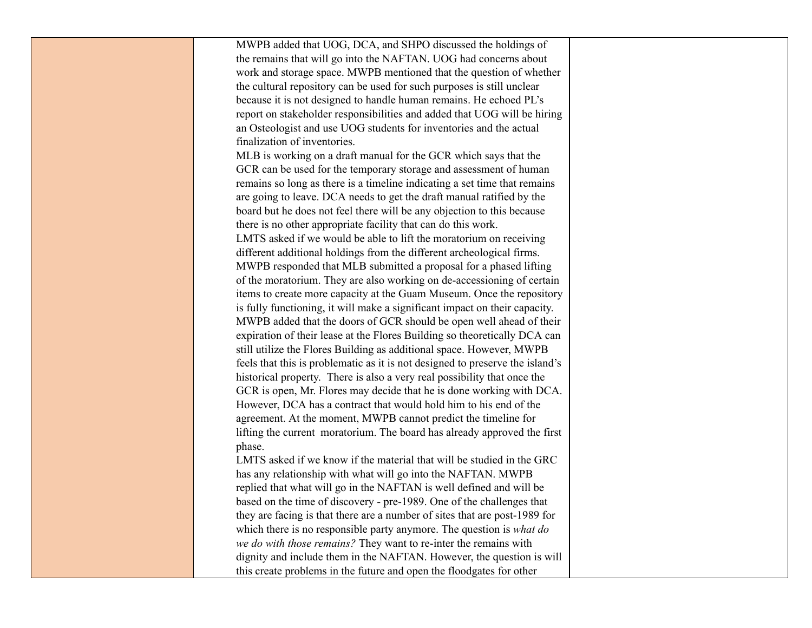| MWPB added that UOG, DCA, and SHPO discussed the holdings of                  |
|-------------------------------------------------------------------------------|
| the remains that will go into the NAFTAN. UOG had concerns about              |
| work and storage space. MWPB mentioned that the question of whether           |
| the cultural repository can be used for such purposes is still unclear        |
| because it is not designed to handle human remains. He echoed PL's            |
| report on stakeholder responsibilities and added that UOG will be hiring      |
| an Osteologist and use UOG students for inventories and the actual            |
| finalization of inventories.                                                  |
| MLB is working on a draft manual for the GCR which says that the              |
| GCR can be used for the temporary storage and assessment of human             |
| remains so long as there is a timeline indicating a set time that remains     |
| are going to leave. DCA needs to get the draft manual ratified by the         |
| board but he does not feel there will be any objection to this because        |
| there is no other appropriate facility that can do this work.                 |
| LMTS asked if we would be able to lift the moratorium on receiving            |
| different additional holdings from the different archeological firms.         |
| MWPB responded that MLB submitted a proposal for a phased lifting             |
| of the moratorium. They are also working on de-accessioning of certain        |
| items to create more capacity at the Guam Museum. Once the repository         |
| is fully functioning, it will make a significant impact on their capacity.    |
| MWPB added that the doors of GCR should be open well ahead of their           |
| expiration of their lease at the Flores Building so theoretically DCA can     |
| still utilize the Flores Building as additional space. However, MWPB          |
| feels that this is problematic as it is not designed to preserve the island's |
| historical property. There is also a very real possibility that once the      |
| GCR is open, Mr. Flores may decide that he is done working with DCA.          |
| However, DCA has a contract that would hold him to his end of the             |
| agreement. At the moment, MWPB cannot predict the timeline for                |
| lifting the current moratorium. The board has already approved the first      |
| phase.                                                                        |
| LMTS asked if we know if the material that will be studied in the GRC         |
| has any relationship with what will go into the NAFTAN. MWPB                  |
| replied that what will go in the NAFTAN is well defined and will be           |
| based on the time of discovery - pre-1989. One of the challenges that         |
| they are facing is that there are a number of sites that are post-1989 for    |
| which there is no responsible party anymore. The question is what do          |
| we do with those remains? They want to re-inter the remains with              |
| dignity and include them in the NAFTAN. However, the question is will         |
| this create problems in the future and open the floodgates for other          |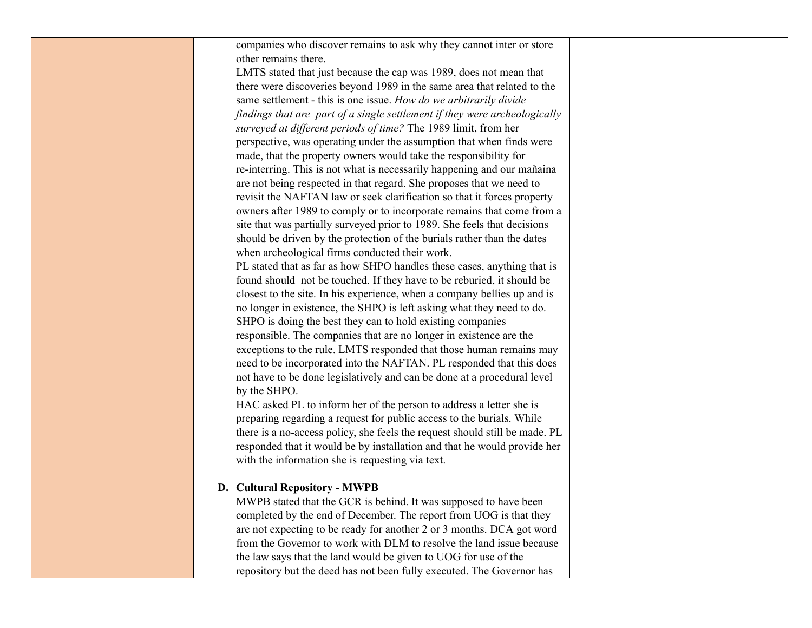companies who discover remains to ask why they cannot inter or store other remains there.

LMTS stated that just because the cap was 1989, does not mean that there were discoveries beyond 1989 in the same area that related to the same settlement - this is one issue. *How do we arbitrarily divide findings that are part of a single settlement if they were archeologically Surveyed at different periods of time?* The 1989 limit, from her perspective, was operating under the assumption that when finds were made, that the property owners would take the responsibility for re-interring. This is not what is necessarily happening and our mañaina are not being respected in that regard. She proposes that we need to revisit the NAFTAN law or seek clarification so that it forces property owners after 1989 to comply or to incorporate remains that come from a site that was partially surveyed prior to 1989. She feels that decisions should be driven by the protection of the burials rather than the dates when archeological firms conducted their work.

PL stated that as far as how SHPO handles these cases, anything that is found should not be touched. If they have to be reburied, it should be closest to the site. In his experience, when a company bellies up and is no longer in existence, the SHPO is left asking what they need to do. SHPO is doing the best they can to hold existing companies responsible. The companies that are no longer in existence are the exceptions to the rule. LMTS responded that those human remains may need to be incorporated into the NAFTAN. PL responded that this does not have to be done legislatively and can be done at a procedural level by the SHPO.

HAC asked PL to inform her of the person to address <sup>a</sup> letter she is preparing regarding a request for public access to the burials. While there is a no-access policy, she feels the request should still be made. PL responded that it would be by installation and that he would provide her with the information she is requesting via text.

## **D. CXOWXUDO RHSRVLWRU\ - M:PB**

MWPB stated that the GCR is behind. It was supposed to have been completed by the end of December. The report from UOG is that they are not expecting to be ready for another 2 or 3 months. DCA got word from the Governor to work with DLM to resolve the land issue because the law says that the land would be given to UOG for use of the repository but the deed has not been fully executed. The Governor has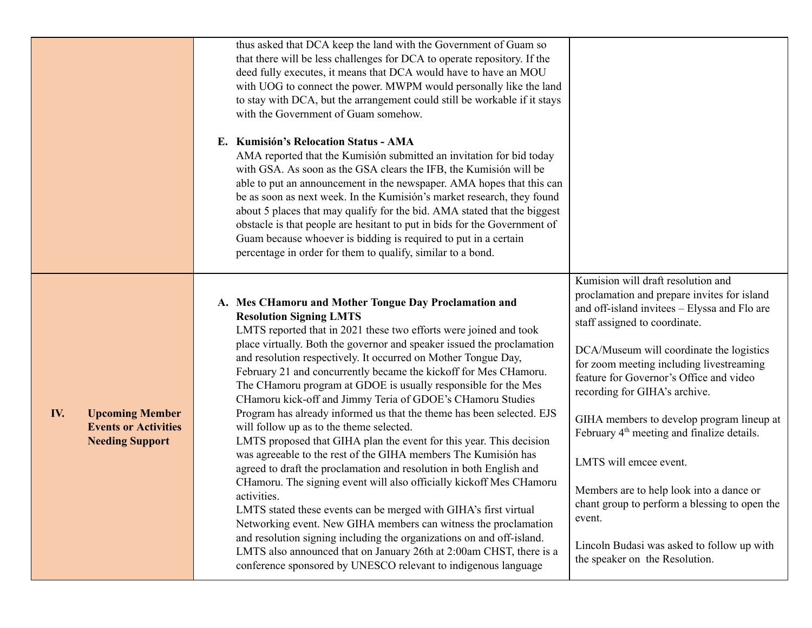|                                                                                        | thus asked that DCA keep the land with the Government of Guam so<br>that there will be less challenges for DCA to operate repository. If the<br>deed fully executes, it means that DCA would have to have an MOU<br>with UOG to connect the power. MWPM would personally like the land<br>to stay with DCA, but the arrangement could still be workable if it stays<br>with the Government of Guam somehow.<br>E. Kumisión's Relocation Status - AMA<br>AMA reported that the Kumisión submitted an invitation for bid today<br>with GSA. As soon as the GSA clears the IFB, the Kumisión will be<br>able to put an announcement in the newspaper. AMA hopes that this can<br>be as soon as next week. In the Kumisión's market research, they found<br>about 5 places that may qualify for the bid. AMA stated that the biggest<br>obstacle is that people are hesitant to put in bids for the Government of<br>Guam because whoever is bidding is required to put in a certain<br>percentage in order for them to qualify, similar to a bond.                                                                                                                                                                                                                                                  |                                                                                                                                                                                                                                                                                                                                                                                                                                                                                                                                                                                                                                                                |
|----------------------------------------------------------------------------------------|--------------------------------------------------------------------------------------------------------------------------------------------------------------------------------------------------------------------------------------------------------------------------------------------------------------------------------------------------------------------------------------------------------------------------------------------------------------------------------------------------------------------------------------------------------------------------------------------------------------------------------------------------------------------------------------------------------------------------------------------------------------------------------------------------------------------------------------------------------------------------------------------------------------------------------------------------------------------------------------------------------------------------------------------------------------------------------------------------------------------------------------------------------------------------------------------------------------------------------------------------------------------------------------------------|----------------------------------------------------------------------------------------------------------------------------------------------------------------------------------------------------------------------------------------------------------------------------------------------------------------------------------------------------------------------------------------------------------------------------------------------------------------------------------------------------------------------------------------------------------------------------------------------------------------------------------------------------------------|
| IV.<br><b>Upcoming Member</b><br><b>Events or Activities</b><br><b>Needing Support</b> | A. Mes CHamoru and Mother Tongue Day Proclamation and<br><b>Resolution Signing LMTS</b><br>LMTS reported that in 2021 these two efforts were joined and took<br>place virtually. Both the governor and speaker issued the proclamation<br>and resolution respectively. It occurred on Mother Tongue Day,<br>February 21 and concurrently became the kickoff for Mes CHamoru.<br>The CHamoru program at GDOE is usually responsible for the Mes<br>CHamoru kick-off and Jimmy Teria of GDOE's CHamoru Studies<br>Program has already informed us that the theme has been selected. EJS<br>will follow up as to the theme selected.<br>LMTS proposed that GIHA plan the event for this year. This decision<br>was agreeable to the rest of the GIHA members The Kumisión has<br>agreed to draft the proclamation and resolution in both English and<br>CHamoru. The signing event will also officially kickoff Mes CHamoru<br>activities.<br>LMTS stated these events can be merged with GIHA's first virtual<br>Networking event. New GIHA members can witness the proclamation<br>and resolution signing including the organizations on and off-island.<br>LMTS also announced that on January 26th at 2:00am CHST, there is a<br>conference sponsored by UNESCO relevant to indigenous language | Kumision will draft resolution and<br>proclamation and prepare invites for island<br>and off-island invitees - Elyssa and Flo are<br>staff assigned to coordinate.<br>DCA/Museum will coordinate the logistics<br>for zoom meeting including livestreaming<br>feature for Governor's Office and video<br>recording for GIHA's archive.<br>GIHA members to develop program lineup at<br>February 4 <sup>th</sup> meeting and finalize details.<br>LMTS will emcee event.<br>Members are to help look into a dance or<br>chant group to perform a blessing to open the<br>event.<br>Lincoln Budasi was asked to follow up with<br>the speaker on the Resolution. |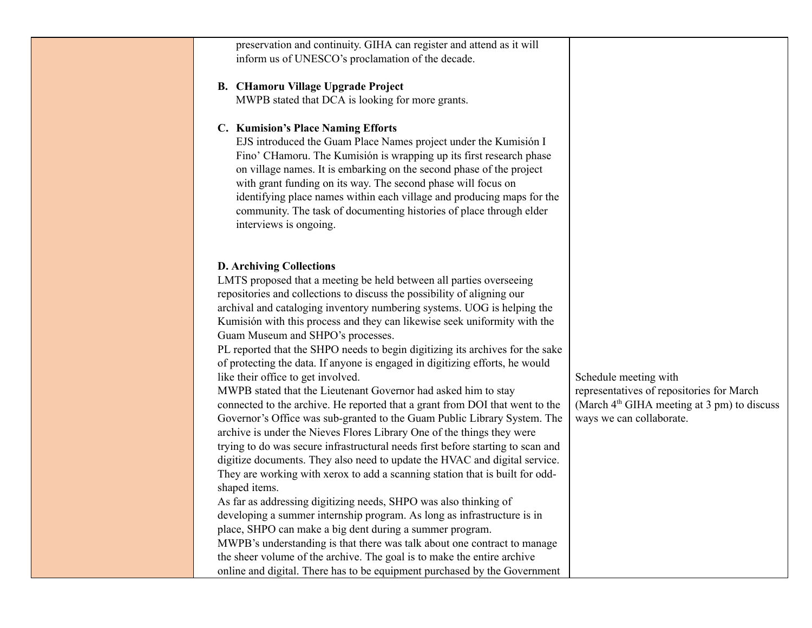| preservation and continuity. GIHA can register and attend as it will<br>inform us of UNESCO's proclamation of the decade.                                                                                                                                                                                                                                                                                                                                                                                                                                                                                                                                                                                                                                                                                                                                                                                                                                                                                                                                                                                                                                                                                                                                                                                                                                                                                                                                                                                                                                                                                      |                                                                                                                                                           |
|----------------------------------------------------------------------------------------------------------------------------------------------------------------------------------------------------------------------------------------------------------------------------------------------------------------------------------------------------------------------------------------------------------------------------------------------------------------------------------------------------------------------------------------------------------------------------------------------------------------------------------------------------------------------------------------------------------------------------------------------------------------------------------------------------------------------------------------------------------------------------------------------------------------------------------------------------------------------------------------------------------------------------------------------------------------------------------------------------------------------------------------------------------------------------------------------------------------------------------------------------------------------------------------------------------------------------------------------------------------------------------------------------------------------------------------------------------------------------------------------------------------------------------------------------------------------------------------------------------------|-----------------------------------------------------------------------------------------------------------------------------------------------------------|
| <b>B. CHamoru Village Upgrade Project</b><br>MWPB stated that DCA is looking for more grants.                                                                                                                                                                                                                                                                                                                                                                                                                                                                                                                                                                                                                                                                                                                                                                                                                                                                                                                                                                                                                                                                                                                                                                                                                                                                                                                                                                                                                                                                                                                  |                                                                                                                                                           |
| C. Kumision's Place Naming Efforts<br>EJS introduced the Guam Place Names project under the Kumisión I<br>Fino' CHamoru. The Kumisión is wrapping up its first research phase<br>on village names. It is embarking on the second phase of the project<br>with grant funding on its way. The second phase will focus on<br>identifying place names within each village and producing maps for the<br>community. The task of documenting histories of place through elder<br>interviews is ongoing.                                                                                                                                                                                                                                                                                                                                                                                                                                                                                                                                                                                                                                                                                                                                                                                                                                                                                                                                                                                                                                                                                                              |                                                                                                                                                           |
| <b>D. Archiving Collections</b><br>LMTS proposed that a meeting be held between all parties overseeing<br>repositories and collections to discuss the possibility of aligning our<br>archival and cataloging inventory numbering systems. UOG is helping the<br>Kumisión with this process and they can likewise seek uniformity with the<br>Guam Museum and SHPO's processes.<br>PL reported that the SHPO needs to begin digitizing its archives for the sake<br>of protecting the data. If anyone is engaged in digitizing efforts, he would<br>like their office to get involved.<br>MWPB stated that the Lieutenant Governor had asked him to stay<br>connected to the archive. He reported that a grant from DOI that went to the<br>Governor's Office was sub-granted to the Guam Public Library System. The<br>archive is under the Nieves Flores Library One of the things they were<br>trying to do was secure infrastructural needs first before starting to scan and<br>digitize documents. They also need to update the HVAC and digital service.<br>They are working with xerox to add a scanning station that is built for odd-<br>shaped items.<br>As far as addressing digitizing needs, SHPO was also thinking of<br>developing a summer internship program. As long as infrastructure is in<br>place, SHPO can make a big dent during a summer program.<br>MWPB's understanding is that there was talk about one contract to manage<br>the sheer volume of the archive. The goal is to make the entire archive<br>online and digital. There has to be equipment purchased by the Government | Schedule meeting with<br>representatives of repositories for March<br>(March 4 <sup>th</sup> GIHA meeting at 3 pm) to discuss<br>ways we can collaborate. |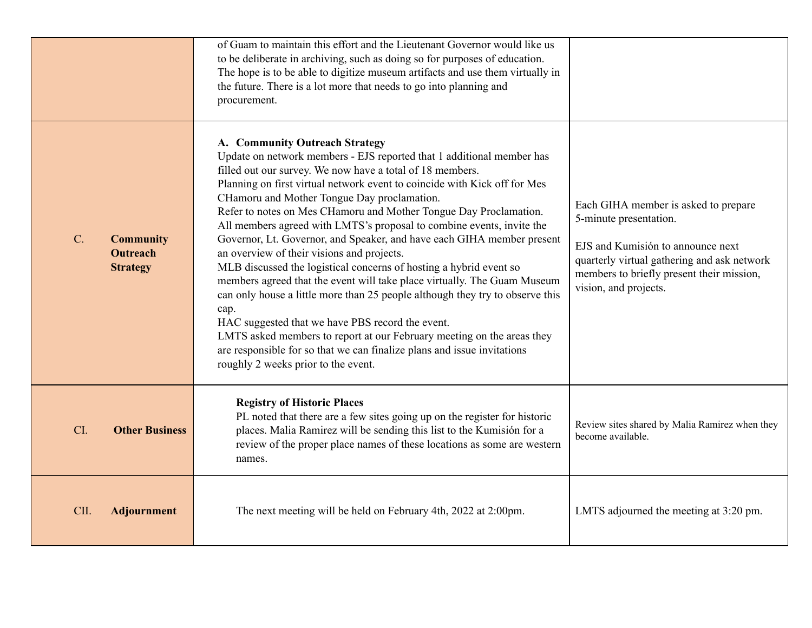|                                                                       | of Guam to maintain this effort and the Lieutenant Governor would like us<br>to be deliberate in archiving, such as doing so for purposes of education.<br>The hope is to be able to digitize museum artifacts and use them virtually in<br>the future. There is a lot more that needs to go into planning and<br>procurement.                                                                                                                                                                                                                                                                                                                                                                                                                                                                                                                                                                                                                                                                                                                                    |                                                                                                                                                                                                                          |
|-----------------------------------------------------------------------|-------------------------------------------------------------------------------------------------------------------------------------------------------------------------------------------------------------------------------------------------------------------------------------------------------------------------------------------------------------------------------------------------------------------------------------------------------------------------------------------------------------------------------------------------------------------------------------------------------------------------------------------------------------------------------------------------------------------------------------------------------------------------------------------------------------------------------------------------------------------------------------------------------------------------------------------------------------------------------------------------------------------------------------------------------------------|--------------------------------------------------------------------------------------------------------------------------------------------------------------------------------------------------------------------------|
| $C_{\cdot}$<br><b>Community</b><br><b>Outreach</b><br><b>Strategy</b> | A. Community Outreach Strategy<br>Update on network members - EJS reported that 1 additional member has<br>filled out our survey. We now have a total of 18 members.<br>Planning on first virtual network event to coincide with Kick off for Mes<br>CHamoru and Mother Tongue Day proclamation.<br>Refer to notes on Mes CHamoru and Mother Tongue Day Proclamation.<br>All members agreed with LMTS's proposal to combine events, invite the<br>Governor, Lt. Governor, and Speaker, and have each GIHA member present<br>an overview of their visions and projects.<br>MLB discussed the logistical concerns of hosting a hybrid event so<br>members agreed that the event will take place virtually. The Guam Museum<br>can only house a little more than 25 people although they try to observe this<br>cap.<br>HAC suggested that we have PBS record the event.<br>LMTS asked members to report at our February meeting on the areas they<br>are responsible for so that we can finalize plans and issue invitations<br>roughly 2 weeks prior to the event. | Each GIHA member is asked to prepare<br>5-minute presentation.<br>EJS and Kumisión to announce next<br>quarterly virtual gathering and ask network<br>members to briefly present their mission,<br>vision, and projects. |
| CI.<br><b>Other Business</b>                                          | <b>Registry of Historic Places</b><br>PL noted that there are a few sites going up on the register for historic<br>places. Malia Ramirez will be sending this list to the Kumisión for a<br>review of the proper place names of these locations as some are western<br>names.                                                                                                                                                                                                                                                                                                                                                                                                                                                                                                                                                                                                                                                                                                                                                                                     | Review sites shared by Malia Ramirez when they<br>become available.                                                                                                                                                      |
| CII.<br><b>Adjournment</b>                                            | The next meeting will be held on February 4th, 2022 at 2:00pm.                                                                                                                                                                                                                                                                                                                                                                                                                                                                                                                                                                                                                                                                                                                                                                                                                                                                                                                                                                                                    | LMTS adjourned the meeting at 3:20 pm.                                                                                                                                                                                   |